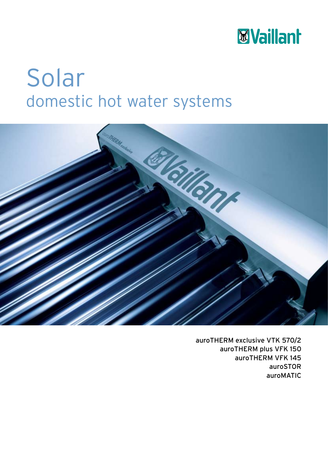

## Solar domestic hot water systems



auroTHERM exclusive VTK 570/2 auroTHERM plus VFK 150 auroTHERM VFK 145 auroSTOR auroMATIC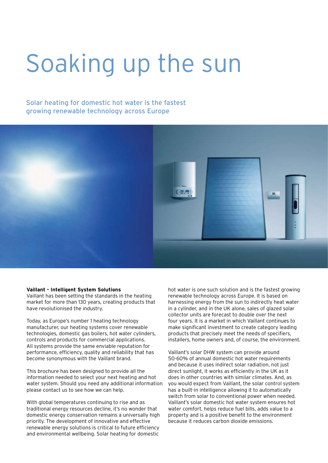# Soaking up the sun

### Solar heating for domestic hot water is the fastest growing renewable technology across Europe



#### **Vaillant - Intelligent System Solutions**

Vaillant has been setting the standards in the heating market for more than 130 years, creating products that have revolutionised the industry.

Today, as Europe's number 1 heating technology manufacturer, our heating systems cover renewable technologies, domestic gas boilers, hot water cylinders, controls and products for commercial applications. All systems provide the same enviable reputation for performance, efficiency, quality and reliability that has become synonymous with the Vaillant brand.

This brochure has been designed to provide all the information needed to select your next heating and hot water system. Should you need any additional information please contact us to see how we can help.

With global temperatures continuing to rise and as traditional energy resources decline, it's no wonder that domestic energy conservation remains a universally high priority. The development of innovative and effective renewable energy solutions is critical to future efficiency and environmental wellbeing. Solar heating for domestic

hot water is one such solution and is the fastest growing renewable technology across Europe. It is based on harnessing energy from the sun to indirectly heat water in a cylinder, and in the UK alone, sales of glazed solar collector units are forecast to double over the next four years. It is a market in which Vaillant continues to make significant investment to create category leading products that precisely meet the needs of specifiers, installers, home owners and, of course, the environment.

Vaillant's solar DHW system can provide around 50-60% of annual domestic hot water requirements and because it uses indirect solar radiation, not just direct sunlight, it works as efficiently in the UK as it does in other countries with similar climates. And, as you would expect from Vaillant, the solar control system has a built-in intelligence allowing it to automatically switch from solar to conventional power when needed. Vaillant's solar domestic hot water system ensures hot water comfort, helps reduce fuel bills, adds value to a property and is a positive benefit to the environment because it reduces carbon dioxide emissions.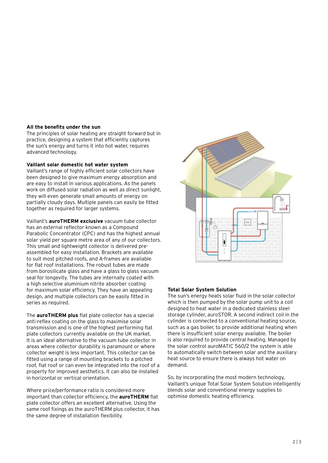### **All the benefits under the sun**

The principles of solar heating are straight forward but in practice, designing a system that efficiently captures the sun's energy and turns it into hot water, requires advanced technology.

### **Vaillant solar domestic hot water system**

Vaillant's range of highly efficient solar collectors have been designed to give maximum energy absorption and are easy to install in various applications. As the panels work on diffused solar radiation as well as direct sunlight, they will even generate small amounts of energy on partially cloudy days. Multiple panels can easily be fitted together as required for larger systems.

Vaillant's **auroTHERM exclusive** vacuum tube collector has an external reflector known as a Compound Parabolic Concentrator (CPC) and has the highest annual solar yield per square metre area of any of our collectors. This small and lightweight collector is delivered preassembled for easy installation. Brackets are available to suit most pitched roofs, and A-frames are available for flat roof installations. The robust tubes are made from borosilicate glass and have a glass to glass vacuum seal for longevity. The tubes are internally coated with a high selective aluminium nitrite absorber coating for maximum solar efficiency. They have an appealing design, and multiple collectors can be easily fitted in series as required.

The **auroTHERM plus** flat plate collector has a special anti-reflex coating on the glass to maximise solar transmission and is one of the highest performing flat plate collectors currently available on the UK market. It is an ideal alternative to the vacuum tube collector in areas where collector durability is paramount or where collector weight is less important. This collector can be fitted using a range of mounting brackets to a pitched roof, flat roof or can even be integrated into the roof of a property for improved aesthetics. It can also be installed in horizontal or vertical orientation.

Where price/performance ratio is considered more important than collector efficiency, the **auroTHERM** flat plate collector offers an excellent alternative. Using the same roof fixings as the auroTHERM plus collector, it has the same degree of installation flexibility.



### **Total Solar System Solution**

The sun's energy heats solar fluid in the solar collector which is then pumped by the solar pump unit to a coil designed to heat water in a dedicated stainless steel storage cylinder, auroSTOR. A second indirect coil in the cylinder is connected to a conventional heating source, such as a gas boiler, to provide additional heating when there is insufficient solar energy available. The boiler is also required to provide central heating. Managed by the solar control auroMATIC 560/2 the system is able to automatically switch between solar and the auxiliary heat source to ensure there is always hot water on demand.

So, by incorporating the most modern technology, Vaillant's unique Total Solar System Solution intelligently blends solar and conventional energy supplies to optimise domestic heating efficiency.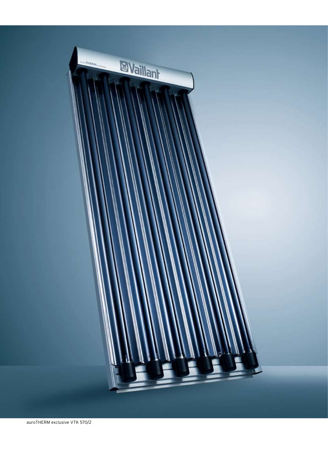

auroTHERM exclusive VTK 570/2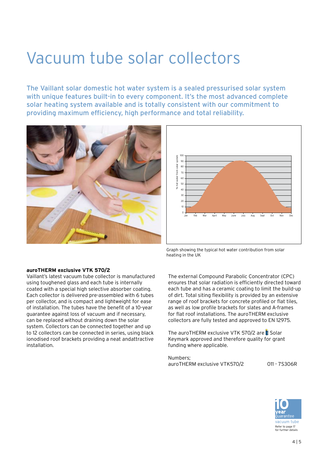### Vacuum tube solar collectors

The Vaillant solar domestic hot water system is a sealed pressurised solar system with unique features built-in to every component. It's the most advanced complete solar heating system available and is totally consistent with our commitment to providing maximum efficiency, high performance and total reliability.





Graph showing the typical hot water contribution from solar heating in the UK

### **auroTHERM exclusive VTK 570/2**

Vaillant's latest vacuum tube collector is manufactured using toughened glass and each tube is internally coated with a special high selective absorber coating. Each collector is delivered pre-assembled with 6 tubes per collector, and is compact and lightweight for ease of installation. The tubes have the benefit of a 10-year guarantee against loss of vacuum and if necessary, can be replaced without draining down the solar system. Collectors can be connected together and up to 12 collectors can be connected in series, using black ionodised roof brackets providing a neat andattractive installation.

The external Compound Parabolic Concentrator (CPC) ensures that solar radiation is efficiently directed toward each tube and has a ceramic coating to limit the build-up of dirt. Total siting flexibility is provided by an extensive range of roof brackets for concrete profiled or flat tiles, as well as low profile brackets for slates and A-frames for flat roof installations. The auroTHERM exclusive collectors are fully tested and approved to EN 12975.

The auroTHERM exclusive VTK 570/2 are Solar Keymark approved and therefore quality for grant funding where applicable.

Numbers; auroTHERM exclusive VTK570/2 011 - 7S306R

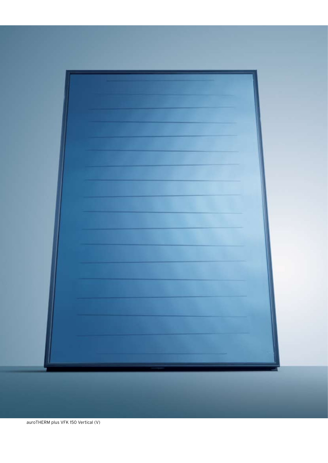

auroTHERM plus VFK 150 Vertical (V)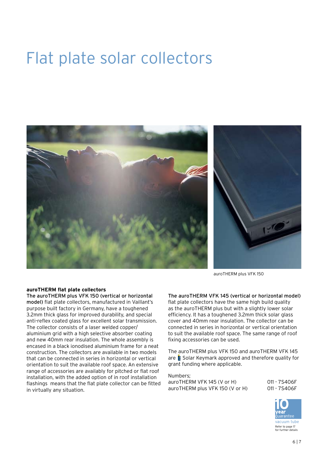### Flat plate solar collectors



auroTHERM plus VFK 150

### **auroTHERM flat plate collectors**

The auroTHERM plus VFK 150 (vertical or horizontal model) flat plate collectors, manufactured in Vaillant's purpose built factory in Germany, have a toughened 3.2mm thick glass for improved durability, and special anti-reflex coated glass for excellent solar transmission. The collector consists of a laser welded copper/ aluminium grid with a high selective absorber coating and new 40mm rear insulation. The whole assembly is encased in a black ionodised aluminium frame for a neat construction. The collectors are available in two models that can be connected in series in horizontal or vertical orientation to suit the available roof space. An extensive range of accessories are availably for pitched or flat roof installation, with the added option of in roof installation flashings means that the flat plate collector can be fitted in virtually any situation.

### The auroTHERM VFK 145 (vertical or horizontal model)

flat plate collectors have the same high build quality as the auroTHERM plus but with a slightly lower solar efficiency. It has a toughened 3.2mm thick solar glass cover and 40mm rear insulation. The collector can be connected in series in horizontal or vertical orientation to suit the available roof space. The same range of roof fixing accessories can be used.

The auroTHERM plus VFK 150 and auroTHERM VFK 145 are  $\hat{\boldsymbol{\epsilon}}$  Solar Keymark approved and therefore quality for grant funding where applicable.

Numbers; auroTHERM VFK 145 (V or H) 011 - 7S406F<br>auroTHERM plus VFK 150 (V or H) 011 - 7S406F auroTHERM plus VFK 150 (V or H)

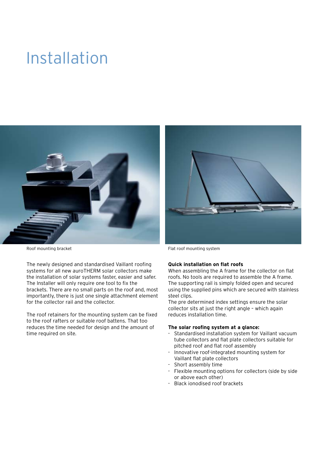### Installation



Roof mounting bracket **Flat roof mounting system** Flat roof mounting system

The newly designed and standardised Vaillant roofing systems for all new auroTHERM solar collectors make the installation of solar systems faster, easier and safer. The Installer will only require one tool to fix the brackets. There are no small parts on the roof and, most importantly, there is just one single attachment element for the collector rail and the collector.

The roof retainers for the mounting system can be fixed to the roof rafters or suitable roof battens. That too reduces the time needed for design and the amount of time required on site.



### **Quick installation on flat roofs**

When assembling the A frame for the collector on flat roofs. No tools are required to assemble the A frame. The supporting rail is simply folded open and secured using the supplied pins which are secured with stainless steel clips.

The pre determined index settings ensure the solar collector sits at just the right angle – which again reduces installation time.

### **The solar roofing system at a glance:**

- Standardised installation system for Vaillant vacuum tube collectors and flat plate collectors suitable for pitched roof and flat roof assembly
- Innovative roof-integrated mounting system for Vaillant flat plate collectors
- Short assembly time
- Flexible mounting options for collectors (side by side or above each other)
- Black ionodised roof brackets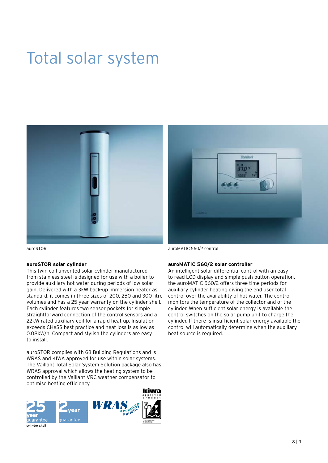### Total solar system



auroSTOR

### **auroSTOR solar cylinder**

This twin coil unvented solar cylinder manufactured from stainless steel is designed for use with a boiler to provide auxiliary hot water during periods of low solar gain. Delivered with a 3kW back-up immersion heater as standard, it comes in three sizes of 200, 250 and 300 litre volumes and has a 25 year warranty on the cylinder shell. Each cylinder features two sensor pockets for simple straightforward connection of the control sensors and a 22kW rated auxiliary coil for a rapid heat up. Insulation exceeds CHeSS best practice and heat loss is as low as 0.08kW/h. Compact and stylish the cylinders are easy to install.

auroSTOR complies with G3 Building Regulations and is WRAS and KIWA approved for use within solar systems. The Vaillant Total Solar System Solution package also has WRAS approval which allows the heating system to be controlled by the Vaillant VRC weather compensator to optimise heating efficiency.



auroMATIC 560/2 control

### **auroMATIC 560/2 solar controller**

An intelligent solar differential control with an easy to read LCD display and simple push button operation, the auroMATIC 560/2 offers three time periods for auxiliary cylinder heating giving the end user total control over the availability of hot water. The control monitors the temperature of the collector and of the cylinder. When sufficient solar energy is available the control switches on the solar pump unit to charge the cylinder. If there is insufficient solar energy available the control will automatically determine when the auxiliary heat source is required.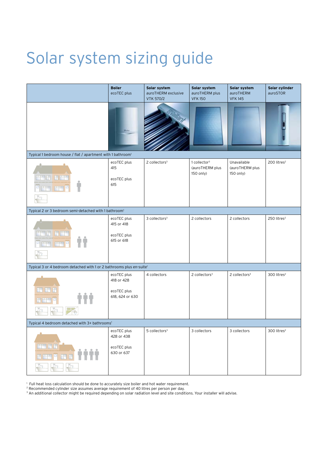### Solar system sizing guide

|                                                                                  | <b>Boiler</b><br>ecoTEC plus                                | Solar system<br>auroTHERM exclusive<br><b>VTK 570/2</b> | Solar system<br>auroTHERM plus<br><b>VFK150</b>          | Solar system<br>auroTHERM<br><b>VFK145</b>  | Solar cylinder<br>auroSTOR |
|----------------------------------------------------------------------------------|-------------------------------------------------------------|---------------------------------------------------------|----------------------------------------------------------|---------------------------------------------|----------------------------|
|                                                                                  |                                                             |                                                         |                                                          |                                             |                            |
| Typical 1 bedroom house / flat / apartment with 1 bathroom <sup>1</sup>          |                                                             |                                                         |                                                          |                                             |                            |
|                                                                                  | ecoTEC plus<br>415<br>ecoTEC plus<br>615                    | 2 collectors <sup>3</sup>                               | 1 collector <sup>3</sup><br>(auroTHERM plus<br>150 only) | Unavailable<br>(auroTHERM plus<br>150 only) | 200 litres <sup>2</sup>    |
| Typical 2 or 3 bedroom semi-detached with 1 bathroom <sup>1</sup>                |                                                             |                                                         |                                                          |                                             |                            |
|                                                                                  | ecoTEC plus<br>415 or 418<br>ecoTEC plus<br>615 or 618      | 3 collectors <sup>3</sup>                               | 2 collectors                                             | 2 collectors                                | 250 litres <sup>2</sup>    |
| Typical 3 or 4 bedroom detached with 1 or 2 bathrooms plus en-suite <sup>1</sup> |                                                             |                                                         |                                                          |                                             |                            |
|                                                                                  | ecoTEC plus<br>418 or 428<br>ecoTEC plus<br>618, 624 or 630 | 4 collectors                                            | 2 collectors <sup>3</sup>                                | 2 collectors <sup>3</sup>                   | 300 litres <sup>2</sup>    |
| Typical 4 bedroom detached with 3+ bathrooms <sup>1</sup>                        |                                                             |                                                         |                                                          |                                             |                            |
| <mark>ma it it</mark><br>而正<br><del>n ma</del> p                                 | ecoTEC plus<br>428 or 438<br>ecoTEC plus<br>630 or 637      | 5 collectors <sup>3</sup>                               | 3 collectors                                             | 3 collectors                                | 300 litres $2$             |

1 Full heat loss calculation should be done to accurately size boiler and hot water requirement.

<sup>2</sup> Recommended cylinder size assumes average requirement of 40 litres per person per day.<br><sup>3</sup> An additional collector might be required depending on solar radiation level and site conditions. Your installer will advise.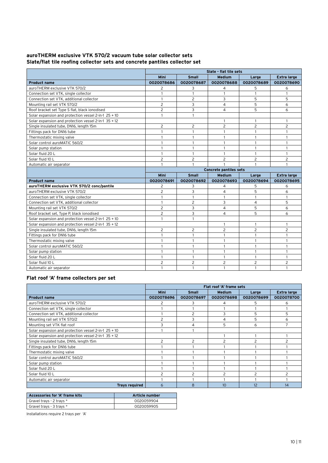### **auroTHERM exclusive VTK 570/2 vacuum tube solar collector sets Slate/flat tile roofing collector sets and concrete pantiles collector set**

|                                                         | Slate - flat tile sets |                |                               |                |                    |  |  |
|---------------------------------------------------------|------------------------|----------------|-------------------------------|----------------|--------------------|--|--|
|                                                         | Mini                   | <b>Small</b>   | <b>Medium</b>                 | Large          | <b>Extra large</b> |  |  |
| <b>Product name</b>                                     | 0020078686             | 0020078687     | 0020078688                    | 0020078689     | 0020078690         |  |  |
| auroTHERM exclusive VTK 570/2                           | 2                      | 3              | 4                             | 5              | 6                  |  |  |
| Connection set VTK, single collector                    | $\mathbf{1}$           | 1              | 1                             | $\mathbf{1}$   | $\mathbf{1}$       |  |  |
| Connection set VTK, additional collector                | $\mathbf{1}$           | $\overline{2}$ | 3                             | 5              | 5                  |  |  |
| Mounting rail set VTK 570/2                             | $\overline{c}$         | 3              | $\overline{4}$                | 5              | 6                  |  |  |
| Roof bracket set Type S flat, black ionodised           | $\overline{c}$         | 3              | 4                             | 5              | 6                  |  |  |
| Solar expansion and protection vessel 2-in-1 25 + 10    | $\mathbf{1}$           | $\mathbf{1}$   |                               |                |                    |  |  |
| Solar expansion and protection vessel $2$ -in-1 35 + 12 |                        |                | 1                             | 1              | 1                  |  |  |
| Single insulated tube, DN16, length 15m                 | $\overline{c}$         | $\overline{2}$ | $\overline{2}$                | $\overline{c}$ | $\overline{c}$     |  |  |
| Fittings pack for DN16 tube                             | $\mathbf{1}$           | 1              | 1                             | 1              | $\mathbf{1}$       |  |  |
| Thermostatic mixing valve                               | 1                      | 1              | 1                             | 1              | $\mathbf{1}$       |  |  |
| Solar control auroMATIC 560/2                           | $\mathbf{1}$           | $\mathbf{1}$   | $\mathbf{1}$                  | $\mathbf{1}$   | $\mathbf{1}$       |  |  |
| Solar pump station                                      | $\mathbf{1}$           | $\mathbf{1}$   | $\mathbf{1}$                  | $\mathbf{1}$   | $\mathbf{1}$       |  |  |
| Solar fluid 20 L                                        | 1                      | 1              | 1                             | $\mathbf{1}$   | $\mathbf{1}$       |  |  |
| Solar fluid 10 L                                        | $\overline{c}$         | $\overline{c}$ | $\overline{c}$                | $\overline{c}$ | $\overline{c}$     |  |  |
| Automatic air separator                                 | 1                      | 1              |                               | $\mathbf{1}$   | $\mathbf{1}$       |  |  |
|                                                         |                        |                | <b>Concrete pantiles sets</b> |                |                    |  |  |
|                                                         | Mini                   | <b>Small</b>   | <b>Medium</b>                 | Large          | <b>Extra large</b> |  |  |
| <b>Product name</b>                                     | 0020078691             | 0020078692     | 0020078693                    | 0020078694     | 0020078695         |  |  |
| auroTHERM exclusive VTK 570/2 conc/pantile              | 2                      | 3              | 4                             | 5              | 6                  |  |  |
| auroTHERM exclusive VTK 570/2                           | $\overline{c}$         | 3              | 4                             | 5              | 6                  |  |  |
| Connection set VTK, single collector                    | 1                      | $\mathbf{1}$   | 1                             | $\mathbf{1}$   | 1                  |  |  |
| Connection set VTK, additional collector                | 1                      | $\overline{c}$ | 3                             | $\overline{4}$ | 5                  |  |  |
| Mounting rail set VTK 570/2                             | $\overline{c}$         | 3              | 4                             | 5              | 6                  |  |  |
| Roof bracket set, Type P, black ionodised               | $\overline{c}$         | 3              | 4                             | 5              | 6                  |  |  |
| Solar expansion and protection vessel 2-in-1 25 + 10    | $\mathbf{1}$           | 1              |                               |                |                    |  |  |
| Solar expansion and protection vessel 2-in-1 35 + 12    |                        |                | $\mathbf{1}$                  | $\mathbf{1}$   | $\mathbf{1}$       |  |  |
| Single insulated tube, DN16, length 15m                 | $\overline{c}$         | $\overline{2}$ | $\overline{c}$                | $\overline{c}$ | $\overline{c}$     |  |  |
| Fittings pack for DN16 tube                             | 1                      | 1              | 1                             | $\mathbf{1}$   | $\mathbf{1}$       |  |  |
| Thermostatic mixing valve                               | 1                      | 1              | $\mathbf{1}$                  | $\mathbf{1}$   | $\overline{1}$     |  |  |
| Solar control auroMATIC 560/2                           | 1                      | 1              | $\mathbf{1}$                  | $\mathbf{1}$   | $\overline{1}$     |  |  |
| Solar pump station                                      | 1                      | 1              | $\mathbf{1}$                  | $\mathbf{1}$   | $\overline{1}$     |  |  |
| Solar fluid 20 L                                        | 1                      | 1              | 1                             | $\mathbf{1}$   | $\overline{1}$     |  |  |
| Solar fluid 10 L                                        | 2                      | $\overline{c}$ | $\overline{c}$                | $\overline{c}$ | $\overline{c}$     |  |  |
| Automatic air separator                                 | 1                      | 1              | $\mathbf{1}$                  | $\mathbf{1}$   | $\overline{1}$     |  |  |

### **Flat roof 'A' frame collectors per set**

|                                                      | Flat roof 'A' frame sets |              |                          |            |                    |  |  |
|------------------------------------------------------|--------------------------|--------------|--------------------------|------------|--------------------|--|--|
|                                                      | Mini                     | <b>Small</b> | <b>Medium</b>            | Large      | <b>Extra large</b> |  |  |
| <b>Product name</b>                                  | 0020078696               | 0020078697   | 0020078698               | 0020078699 | 0020078700         |  |  |
| auroTHERM exclusive VTK 570/2                        |                          |              | 4                        | 5          | 6                  |  |  |
| Connection set VTK, single collector                 |                          |              |                          |            |                    |  |  |
| Connection set VTK, additional collector             |                          |              |                          | 5          | 5                  |  |  |
| Mounting rail set VTK 570/2                          | $\overline{c}$           |              | 4                        | 5          | 6                  |  |  |
| Mounting set VTK flat roof                           |                          | 4            | 5                        | 6          |                    |  |  |
| Solar expansion and protection vessel 2-in-1 25 + 10 |                          |              |                          |            |                    |  |  |
| Solar expansion and protection vessel 2-in-1 35 + 12 |                          |              |                          |            |                    |  |  |
| Single insulated tube, DN16, length 15m              | $\overline{\phantom{0}}$ | っ            | $\overline{\phantom{0}}$ | 2          |                    |  |  |
| Fittings pack for DN16 tube                          |                          |              |                          |            |                    |  |  |
| Thermostatic mixing valve                            |                          |              |                          |            |                    |  |  |
| Solar control auroMATIC 560/2                        |                          |              |                          |            |                    |  |  |
| Solar pump station                                   |                          |              |                          |            |                    |  |  |
| Solar fluid 20 L                                     |                          |              |                          |            |                    |  |  |
| Solar fluid 10 L                                     | $\mathcal{P}$            |              | $\mathcal{P}$            | っ          |                    |  |  |
| Automatic air separator                              |                          |              |                          |            |                    |  |  |
| <b>Trays required</b>                                | 6                        | 8            | 10                       | 12         | 14                 |  |  |

| Accessories for 'A' frame kits | <b>Article number</b> |
|--------------------------------|-----------------------|
| Gravel trays - 2 trays *       | 0020059904            |
| Gravel trays - 3 trays *       | 0020059905            |

Installations require 2 trays per 'A'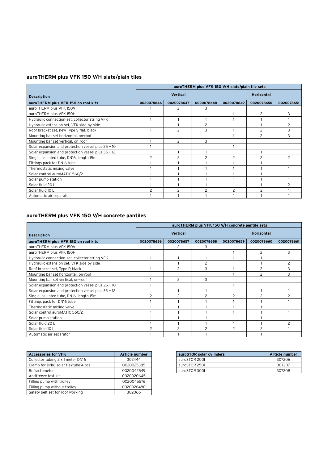### **auroTHERM plus VFK 150 V/H slate/plain tiles**

|                                                    | auroTHERM plus VFK 150 V/H slate/plain tile sets |                |                          |                          |                          |            |
|----------------------------------------------------|--------------------------------------------------|----------------|--------------------------|--------------------------|--------------------------|------------|
| <b>Description</b>                                 | <b>Vertical</b>                                  |                |                          | <b>Horizontal</b>        |                          |            |
| auroTHERM plus VFK 150 on roof kits                | 0020078646                                       | 0020078647     | 0020078648               | 0020078649               | 0020078650               | 0020078651 |
| auroTHERM plus VFK 150V                            |                                                  | 2              | 3                        |                          |                          |            |
| auroTHERM plus VFK 150H                            |                                                  |                |                          |                          | 2                        | 3          |
| Hydraulic connection-set, collector string VFK     |                                                  |                |                          |                          |                          |            |
| Hydraulic extension-set, VFK side-by-side          |                                                  |                | $\overline{c}$           |                          |                          |            |
| Roof bracket set, new Type S flat, black           |                                                  | 2              | 3                        |                          | 2                        | З          |
| Mounting bar set horizontal, on-roof               |                                                  |                |                          |                          | 2                        | 3          |
| Mounting bar set vertical, on-roof                 |                                                  | $\overline{c}$ | 3                        |                          |                          |            |
| Solar expansion and protection vessel plus 25 + 10 |                                                  |                |                          |                          |                          |            |
| Solar expansion and protection vessel plus 35 + 12 |                                                  |                |                          |                          |                          |            |
| Single insulated tube, DN16, length 15m            | 2                                                | 2              | $\overline{c}$           | $\overline{c}$           | $\overline{c}$           |            |
| Fittings pack for DN16 tube                        |                                                  |                |                          |                          |                          |            |
| Thermostatic mixing valve                          |                                                  |                |                          |                          |                          |            |
| Solar control auroMATIC 560/2                      |                                                  |                |                          |                          |                          |            |
| Solar pump station                                 |                                                  |                |                          |                          |                          |            |
| Solar fluid 20 L                                   |                                                  |                |                          |                          |                          |            |
| Solar fluid 10 L                                   | $\mathcal{P}$                                    |                | $\overline{\phantom{0}}$ | $\overline{\phantom{a}}$ | $\overline{\phantom{0}}$ |            |
| Automatic air separator                            |                                                  |                |                          |                          |                          |            |

### **auroTHERM plus VFK 150 V/H concrete pantiles**

|                                                    | auroTHERM plus VFK 150 V/H concrete pantile sets |                |            |                   |            |            |
|----------------------------------------------------|--------------------------------------------------|----------------|------------|-------------------|------------|------------|
| <b>Description</b>                                 | <b>Vertical</b>                                  |                |            | <b>Horizontal</b> |            |            |
| auroTHERM plus VFK 150 on roof kits                | 0020078656                                       | 0020078657     | 0020078658 | 0020078659        | 0020078660 | 0020078661 |
| auroTHERM plus VFK 150V                            |                                                  | 2              | 3          |                   |            |            |
| auroTHERM plus VFK 150H                            |                                                  |                |            |                   | 2          |            |
| Hydraulic connection-set, collector string VFK     |                                                  |                |            |                   |            |            |
| Hydraulic extension-set, VFK side-by-side          |                                                  |                | 2          |                   |            |            |
| Roof bracket set, Type P, black                    |                                                  | 2              | 3          |                   | 2          |            |
| Mounting bar set horizontal, on-roof               |                                                  |                |            |                   | 2          | 3          |
| Mounting bar set vertical, on-roof                 |                                                  | $\overline{2}$ | 3          |                   |            |            |
| Solar expansion and protection vessel plus 25 + 10 |                                                  |                |            |                   |            |            |
| Solar expansion and protection vessel plus 35 + 12 |                                                  |                |            |                   |            |            |
| Single insulated tube, DN16, length 15m            | 2                                                |                | 2          | 2                 | 2          |            |
| Fittings pack for DN16 tube                        |                                                  |                |            |                   |            |            |
| Thermostatic mixing valve                          |                                                  |                |            |                   |            |            |
| Solar control auroMATIC 560/2                      |                                                  |                |            |                   |            |            |
| Solar pump station                                 |                                                  |                |            |                   |            |            |
| Solar fluid 20 L                                   |                                                  |                |            |                   |            |            |
| Solar fluid 10 L                                   |                                                  |                |            | っ                 | っ          |            |
| Automatic air separator                            |                                                  |                |            |                   |            |            |

| <b>Accessories for VFK</b>          | <b>Article number</b> |
|-------------------------------------|-----------------------|
| Collector tubing 2 x 1 meter DN16   | 302444                |
| Clamp for DN16 solar flextube 4 pcs | 0020025385            |
| Refractometer                       | 0020042549            |
| Antifreeze test kit                 | 0020020645            |
| Filling pump with trolley           | 0020045576            |
| Filling pump without trolley        | 0020026480            |
| Safety belt set for roof working    | 302066                |

| auroSTOR solar cylinders | Article number |
|--------------------------|----------------|
| auroSTOR 2001            | 307206         |
| auroSTOR 250I            | 307207         |
| auroSTOR 300L            | 307208         |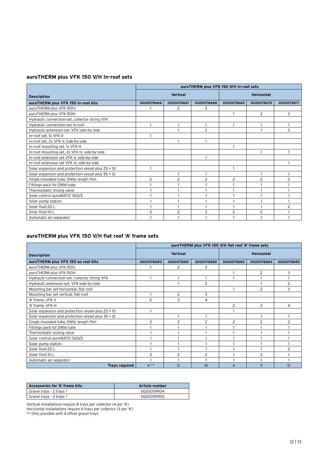### **auroTHERM plus VFK 150 V/H In-roof sets**

|                                                    | auroTHERM plus VFK 150 V/H In-roof sets |                |                |                   |                |                |
|----------------------------------------------------|-----------------------------------------|----------------|----------------|-------------------|----------------|----------------|
| <b>Description</b>                                 | <b>Vertical</b>                         |                |                | <b>Horizontal</b> |                |                |
| auroTHERM plus VFK 150 In-roof kits                | 0020078666                              | 0020078667     | 0020078668     | 0020078669        | 0020078670     | 0020078671     |
| auroTHERM plus VFK 150V                            |                                         | 2              | 3              |                   |                |                |
| auroTHERM plus VFK 150H                            |                                         |                |                |                   | $\overline{2}$ | 3              |
| Hydraulic connection-set, collector string VFK     |                                         |                |                |                   |                |                |
| Hydraulic connection-set in-roof                   |                                         |                |                |                   |                |                |
| Hydraulic extension-set, VFK side-by-side          |                                         |                | $\overline{c}$ |                   |                | 2              |
| In-roof set, 1x VFK V                              |                                         |                |                |                   |                |                |
| In-roof set, 2x VFK V, side-by-side                |                                         |                |                |                   |                |                |
| In-roof mounting set, 1x VFK H                     |                                         |                |                |                   |                |                |
| In-roof mounting set, 2x VFK H, side-by-side       |                                         |                |                |                   |                |                |
| In-roof extension set VFK V, side-by-side          |                                         |                |                |                   |                |                |
| In-roof extension set VFK H, side-by-side          |                                         |                |                |                   |                |                |
| Solar expansion and protection vessel plus 25 + 10 |                                         |                |                |                   |                |                |
| Solar expansion and protection vessel plus 35 + 12 |                                         |                |                |                   |                |                |
| Single insulated tube, DN16, length 15m            | 2                                       | 2              | $\overline{c}$ | 2                 | $\overline{2}$ | $\overline{c}$ |
| Fittings pack for DN16 tube                        |                                         |                |                |                   |                |                |
| Thermostatic mixing valve                          |                                         |                |                |                   |                |                |
| Solar control auroMATIC 560/2                      |                                         |                |                |                   |                |                |
| Solar pump station                                 |                                         |                |                |                   |                |                |
| Solar fluid 20 L                                   |                                         |                |                |                   |                | $\overline{c}$ |
| Solar fluid 10 L                                   | $\overline{c}$                          | $\overline{c}$ | $\overline{c}$ | $\overline{c}$    | $\overline{c}$ |                |
| Automatic air separator                            |                                         |                |                |                   |                |                |

### **auroTHERM plus VFK 150 V/H flat roof 'A' frame sets**

|                                                    | auroTHERM plus VFK 150 V/H flat roof 'A' frame sets |            |                |                   |            |            |
|----------------------------------------------------|-----------------------------------------------------|------------|----------------|-------------------|------------|------------|
| <b>Description</b>                                 | <b>Vertical</b>                                     |            |                | <b>Horizontal</b> |            |            |
| auroTHERM plus VFK 150 on roof kits                | 0020078680                                          | 0020078681 | 0020078682     | 0020078683        | 0020078684 | 0020078685 |
| auroTHERM plus VFK 150V                            |                                                     | 2          | 3              |                   |            |            |
| auroTHERM plus VFK 150H                            |                                                     |            |                |                   | 2          | 3          |
| Hydraulic connection-set, collector string VFK     |                                                     |            |                |                   |            |            |
| Hydraulic extension-set, VFK side-by-side          |                                                     |            | $\overline{c}$ |                   |            | 2          |
| Mounting bar set horizontal, flat roof             |                                                     |            |                |                   | 2          | 3          |
| Mounting bar set vertical, flat roof               |                                                     | 2          | 3              |                   |            |            |
| 'A' frame, VFK V                                   | $\overline{c}$                                      | 3          | 4              |                   |            |            |
| 'A' frame, VFK H                                   |                                                     |            |                | 2                 | 3          | 4          |
| Solar expansion and protection vessel plus 25 + 10 |                                                     |            |                |                   |            |            |
| Solar expansion and protection vessel plus 35 + 12 |                                                     |            |                |                   |            |            |
| Single insulated tube, DN16, length 15m            | 2                                                   | 2          | $\overline{c}$ | 2                 | 2          | 2          |
| Fittings pack for DN16 tube                        |                                                     |            |                |                   |            |            |
| Thermostatic mixing valve                          |                                                     |            |                |                   |            |            |
| Solar control auroMATIC 560/2                      |                                                     |            |                |                   |            |            |
| Solar pump station                                 |                                                     |            |                |                   |            |            |
| Solar fluid 20 L                                   |                                                     |            |                |                   |            |            |
| Solar fluid 10 L                                   | $\overline{c}$                                      | 2          | $\overline{c}$ |                   | 2          |            |
| Automatic air separator                            |                                                     |            |                |                   |            |            |
| <b>Trays required</b>                              | $4**$                                               | 12         | 16             | 6                 | 9          | 12         |

| Accessories for 'A' frame kits | Article number |
|--------------------------------|----------------|
| Gravel trays - 2 trays *       | 0020059904     |
| Gravel trays - 3 trays *       | 0020059905     |

Vertical installations require 8 trays per collector (4 per 'A')

Horizontal installations require 6 trays per collector (3 per 'A')

\*\* Only possible with 4 offset gravel trays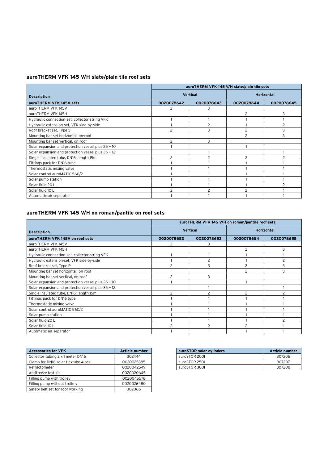### **auroTHERM VFK 145 V/H slate/plain tile roof sets**

|                                                    | auroTHERM VFK 145 V/H slate/plain tile sets |                 |                |                   |  |  |  |
|----------------------------------------------------|---------------------------------------------|-----------------|----------------|-------------------|--|--|--|
| <b>Description</b>                                 |                                             | <b>Vertical</b> |                | <b>Horizontal</b> |  |  |  |
| auroTHERM VFK 145V sets                            | 0020078642                                  | 0020078643      | 0020078644     | 0020078645        |  |  |  |
| auroTHERM VFK 145V                                 | 2                                           | 3               |                |                   |  |  |  |
| auroTHERM VFK 145H                                 |                                             |                 | 2              | 3                 |  |  |  |
| Hydraulic connection-set, collector string VFK     |                                             |                 |                |                   |  |  |  |
| Hydraulic extension-set, VFK side-by-side          |                                             | 2               |                | 2                 |  |  |  |
| Roof bracket set, Type S                           | $\overline{c}$                              | 3               | $\overline{c}$ | 3                 |  |  |  |
| Mounting bar set horizontal, on-roof               |                                             |                 | $\overline{c}$ | 3                 |  |  |  |
| Mounting bar set vertical, on-roof                 | $\overline{c}$                              | 3               |                |                   |  |  |  |
| Solar expansion and protection vessel plus 25 + 10 |                                             |                 |                |                   |  |  |  |
| Solar expansion and protection vessel plus 35 + 12 |                                             |                 |                |                   |  |  |  |
| Single insulated tube, DN16, length 15m            | 2                                           | 2               | 2              | $\overline{2}$    |  |  |  |
| Fittings pack for DN16 tube                        |                                             |                 |                |                   |  |  |  |
| Thermostatic mixing valve                          |                                             |                 |                |                   |  |  |  |
| Solar control auroMATIC 560/2                      |                                             |                 |                |                   |  |  |  |
| Solar pump station                                 |                                             |                 |                |                   |  |  |  |
| Solar fluid 20 L                                   |                                             |                 |                |                   |  |  |  |
| Solar fluid 10 L                                   |                                             |                 |                |                   |  |  |  |
| Automatic air separator                            |                                             |                 |                |                   |  |  |  |

### **auroTHERM VFK 145 V/H on roman/pantile on roof sets**

|                                                    | auroTHERM VFK 145 V/H on roman/pantile roof sets |                 |                   |                |
|----------------------------------------------------|--------------------------------------------------|-----------------|-------------------|----------------|
| <b>Description</b>                                 |                                                  | <b>Vertical</b> | <b>Horizontal</b> |                |
| auroTHERM VFK 145V on roof sets                    | 0020078652                                       | 0020078653      | 0020078654        | 0020078655     |
| auroTHERM VFK 145V                                 | 2                                                | 3               |                   |                |
| auroTHERM VFK 145H                                 |                                                  |                 | 2                 | 3              |
| Hydraulic connection-set, collector string VFK     |                                                  |                 |                   |                |
| Hydraulic extension-set, VFK side-by-side          |                                                  | っ               |                   | 2              |
| Roof bracket set, Type P                           | っ                                                | ٩               |                   | 3              |
| Mounting bar set horizontal, on-roof               |                                                  |                 | 2                 | 3              |
| Mounting bar set vertical, on-roof                 | $\mathcal{P}$                                    | 3               |                   |                |
| Solar expansion and protection vessel plus 25 + 10 |                                                  |                 |                   |                |
| Solar expansion and protection vessel plus 35 + 12 |                                                  |                 |                   |                |
| Single insulated tube, DN16, length 15m            | $\overline{c}$                                   | 2               | $\overline{c}$    | $\overline{c}$ |
| Fittings pack for DN16 tube                        |                                                  |                 |                   |                |
| Thermostatic mixing valve                          |                                                  |                 |                   |                |
| Solar control auroMATIC 560/2                      |                                                  |                 |                   |                |
| Solar pump station                                 |                                                  |                 |                   |                |
| Solar fluid 20 L                                   |                                                  |                 |                   | $\mathcal{P}$  |
| Solar fluid 10 L                                   |                                                  |                 |                   |                |
| Automatic air separator                            |                                                  |                 |                   |                |

| <b>Accessories for VFK</b>          | <b>Article number</b> |
|-------------------------------------|-----------------------|
| Collector tubing 2 x 1 meter DN16   | 302444                |
| Clamp for DN16 solar flextube 4 pcs | 0020025385            |
| Refractometer                       | 0020042549            |
| Antifreeze test kit                 | 0020020645            |
| Filling pump with trolley           | 0020045576            |
| Filling pump without trolle y       | 0020026480            |
| Safety belt set for roof working    | 302066                |

| auroSTOR solar cylinders | Article number |
|--------------------------|----------------|
| auroSTOR 2001            | 307206         |
| auroSTOR 250L            | 307207         |
| auroSTOR 300L            | 307208         |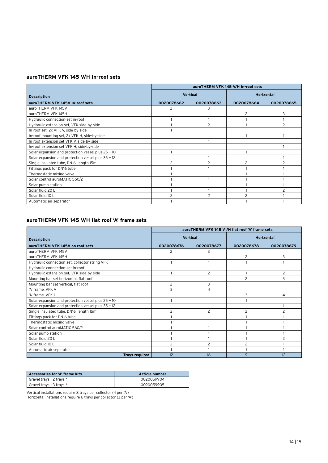### **auroTHERM VFK 145 V/H In-roof sets**

|                                                    | auroTHERM VFK 145 V/H In-roof sets |                 |                   |            |
|----------------------------------------------------|------------------------------------|-----------------|-------------------|------------|
| <b>Description</b>                                 |                                    | <b>Vertical</b> | <b>Horizontal</b> |            |
| auroTHERM VFK 145V In-roof sets                    | 0020078662                         | 0020078663      | 0020078664        | 0020078665 |
| auroTHERM VFK 145V                                 | 2                                  | 3               |                   |            |
| auroTHERM VFK 145H                                 |                                    |                 | $\overline{c}$    | 3          |
| Hydraulic connection-set in-roof                   |                                    |                 |                   |            |
| Hydraulic extension-set, VFK side-by-side          |                                    | 2               |                   | 2          |
| In-roof set, 2x VFK V, side-by-side                |                                    |                 |                   |            |
| In-roof mounting set, 2x VFK H, side-by-side       |                                    |                 |                   |            |
| In-roof extension set VFK V, side-by-side          |                                    |                 |                   |            |
| In-roof extension set VFK H, side-by-side          |                                    |                 |                   |            |
| Solar expansion and protection vessel plus 25 + 10 |                                    |                 |                   |            |
| Solar expansion and protection vessel plus 35 + 12 |                                    |                 |                   |            |
| Single insulated tube, DN16, length 15m            | 2                                  |                 | っ                 | 2          |
| Fittings pack for DN16 tube                        |                                    |                 |                   |            |
| Thermostatic mixing valve                          |                                    |                 |                   |            |
| Solar control auroMATIC 560/2                      |                                    |                 |                   |            |
| Solar pump station                                 |                                    |                 |                   |            |
| Solar fluid 20 L                                   |                                    |                 |                   |            |
| Solar fluid 10 L                                   |                                    |                 |                   |            |
| Automatic air separator                            |                                    |                 |                   |            |

### **auroTHERM VFK 145 V/H flat roof 'A' frame sets**

|                                                    | auroTHERM VFK 145 V /H flat roof 'A' frame sets |                 |                          |                |
|----------------------------------------------------|-------------------------------------------------|-----------------|--------------------------|----------------|
| <b>Description</b>                                 |                                                 | <b>Vertical</b> | <b>Horizontal</b>        |                |
| auroTHERM VFK 145V on roof sets                    | 0020078676                                      | 0020078677      | 0020078678               | 0020078679     |
| auroTHERM VFK 145V                                 | 2                                               | 3               |                          |                |
| auroTHERM VFK 145H                                 |                                                 |                 | $\overline{2}$           | 3              |
| Hydraulic connection-set, collector string VFK     |                                                 |                 |                          |                |
| Hydraulic connection-set in-roof                   |                                                 |                 |                          |                |
| Hydraulic extension-set, VFK side-by-side          |                                                 | $\overline{c}$  |                          | 2              |
| Mounting bar set horizontal, flat roof             |                                                 |                 | $\overline{c}$           | 3              |
| Mounting bar set vertical, flat roof               | 2                                               | 3               |                          |                |
| 'A' frame, VFK V                                   | 3                                               | 4               |                          |                |
| 'A' frame, VFK H                                   |                                                 |                 | 3                        | 4              |
| Solar expansion and protection vessel plus 25 + 10 |                                                 |                 |                          |                |
| Solar expansion and protection vessel plus 35 + 12 |                                                 |                 |                          |                |
| Single insulated tube, DN16, length 15m            | 2                                               | 2               | 2                        | 2              |
| Fittings pack for DN16 tube                        |                                                 |                 |                          |                |
| Thermostatic mixing valve                          |                                                 |                 |                          |                |
| Solar control auroMATIC 560/2                      |                                                 |                 |                          |                |
| Solar pump station                                 |                                                 |                 |                          |                |
| Solar fluid 20 L                                   |                                                 |                 |                          | $\overline{c}$ |
| Solar fluid 10 L                                   |                                                 | $\overline{c}$  | $\overline{\phantom{0}}$ |                |
| Automatic air separator                            |                                                 |                 |                          |                |
| <b>Trays required</b>                              | 12                                              | 16              | 9                        | 12             |

| Accessories for 'A' frame kits | Article number |  |  |
|--------------------------------|----------------|--|--|
| Gravel trays - 2 trays *       | 0020059904     |  |  |
| Gravel trays - 3 trays *       | 0020059905     |  |  |

Vertical installations require 8 trays per collector (4 per 'A') Horizontal installations require 6 trays per collector (3 per 'A')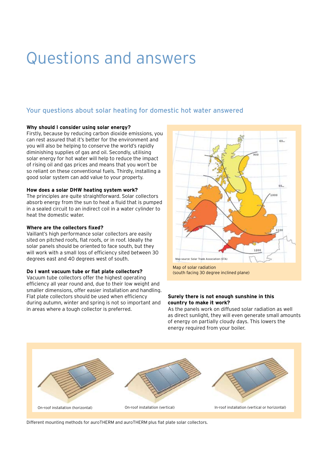### Questions and answers

### Your questions about solar heating for domestic hot water answered

### **Why should I consider using solar energy?**

Firstly, because by reducing carbon dioxide emissions, you can rest assured that it's better for the environment and you will also be helping to conserve the world's rapidly diminishing supplies of gas and oil. Secondly, utilising solar energy for hot water will help to reduce the impact of rising oil and gas prices and means that you won't be so reliant on these conventional fuels. Thirdly, installing a good solar system can add value to your property.

### **How does a solar DHW heating system work?**

The principles are quite straightforward. Solar collectors absorb energy from the sun to heat a fluid that is pumped in a sealed circuit to an indirect coil in a water cylinder to heat the domestic water.

### **Where are the collectors fixed?**

Vaillant's high performance solar collectors are easily sited on pitched roofs, flat roofs, or in roof. Ideally the solar panels should be oriented to face south, but they will work with a small loss of efficiency sited between 30 degrees east and 40 degrees west of south.

### **Do I want vacuum tube or flat plate collectors?**

Vacuum tube collectors offer the highest operating efficiency all year round and, due to their low weight and smaller dimensions, offer easier installation and handling. Flat plate collectors should be used when efficiency during autumn, winter and spring is not so important and in areas where a tough collector is preferred.



Map of solar radiation (south facing 30 degree inclined plane)

### **Surely there is not enough sunshine in this country to make it work?**

As the panels work on diffused solar radiation as well as direct sunlight, they will even generate small amounts of energy on partially cloudy days. This lowers the energy required from your boiler.



Different mounting methods for auroTHERM and auroTHERM plus flat plate solar collectors.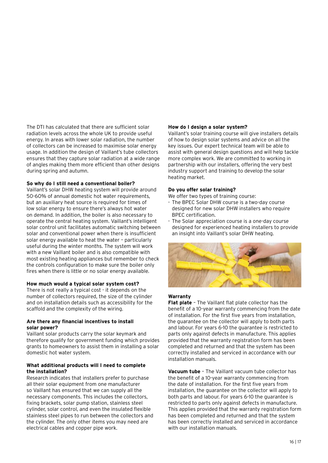The DTI has calculated that there are sufficient solar radiation levels across the whole UK to provide useful energy. In areas with lower solar radiation, the number of collectors can be increased to maximise solar energy usage. In addition the design of Vaillant's tube collectors ensures that they capture solar radiation at a wide range of angles making them more efficient than other designs during spring and autumn.

### **So why do I still need a conventional boiler?**

Vaillant's solar DHW heating system will provide around 50-60% of annual domestic hot water requirements, but an auxiliary heat source is required for times of low solar energy to ensure there's always hot water on demand. In addition, the boiler is also necessary to operate the central heating system. Vaillant's intelligent solar control unit facilitates automatic switching between solar and conventional power when there is insufficient solar energy available to heat the water – particularly useful during the winter months. The system will work with a new Vaillant boiler and is also compatible with most existing heating appliances but remember to check the controls configuration to make sure the boiler only fires when there is little or no solar energy available.

### **How much would a typical solar system cost?**

There is not really a typical cost - it depends on the number of collectors required, the size of the cylinder and on installation details such as accessibility for the scaffold and the complexity of the wiring.

### **Are there any financial incentives to install solar power?**

Vaillant solar products carry the solar keymark and therefore qualify for government funding which provides grants to homeowners to assist them in installing a solar domestic hot water system.

### **What additional products will I need to complete the installation?**

Research indicates that installers prefer to purchase all their solar equipment from one manufacturer so Vaillant has ensured that we can supply all the necessary components. This includes the collectors, fixing brackets, solar pump station, stainless steel cylinder, solar control, and even the insulated flexible stainless steel pipes to run between the collectors and the cylinder. The only other items you may need are electrical cables and copper pipe work.

### **How do I design a solar system?**

Vaillant's solar training course will give installers details of how to design solar systems and advice on all the key issues. Our expert technical team will be able to assist with general design questions and will help tackle more complex work. We are committed to working in partnership with our installers, offering the very best industry support and training to develop the solar heating market.

### **Do you offer solar training?**

We offer two types of training course:

- The BPEC Solar DHW course is a two-day course designed for new solar DHW installers who require BPEC certification.
- The Solar appreciation course is a one-day course designed for experienced heating installers to provide an insight into Vaillant's solar DHW heating.



### **Warranty**

**Flat plate** – The Vaillant flat plate collector has the benefit of a 10-year warranty commencing from the date of installation. For the first five years from installation, the guarantee on the collector will apply to both parts and labour. For years 6-10 the guarantee is restricted to parts only against defects in manufacture. This applies provided that the warranty registration form has been completed and returned and that the system has been correctly installed and serviced in accordance with our installation manuals.

**Vacuum tube** – The Vaillant vacuum tube collector has the benefit of a 10-year warranty commencing from the date of installation. For the first five years from installation, the guarantee on the collector will apply to both parts and labour. For years 6-10 the guarantee is restricted to parts only against defects in manufacture. This applies provided that the warranty registration form has been completed and returned and that the system has been correctly installed and serviced in accordance with our installation manuals.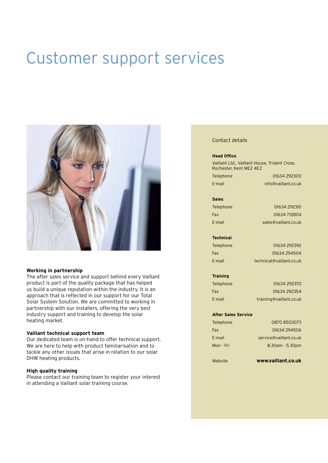### Customer support services



#### **Working in partnership**

The after sales service and support behind every Vaillant product is part of the quality package that has helped us build a unique reputation within the industry. It is an approach that is reflected in our support for our Total Solar System Solution. We are committed to working in partnership with our installers, offering the very best industry support and training to develop the solar heating market.

### **Vaillant technical support team**

Our dedicated team is on-hand to offer technical support. We are here to help with product familiarisation and to tackle any other issues that arise in relation to our solar DHW heating products.

### **High quality training**

Please contact our training team to register your interest in attending a Vaillant solar training course.

#### Contact details

#### **Head Office**

Vaillant Ltd., Vaillant House, Trident Close, Rochester, Kent ME2 4EZ

Telephone 01634 292300 E-mail info@vaillant.co.uk

**Sales**

Telephone 01634 292310 Fax 01634 712804 E-mail sales@vaillant.co.uk

### **Technical**

Telephone 01634 292392 Fax 01634 294504 E-mail technical@vaillant.co.uk

# **Training**

Telephone 01634 292370 Fax 01634 292354 E-mail training@vaillant.co.uk

#### **After Sales Service**

Telephone 0870 8503073 Fax 01634 294506 E-mail service@vaillant.co.uk Mon - Fri 8.30am - 5.30pm

Website **www.vaillant.co.uk**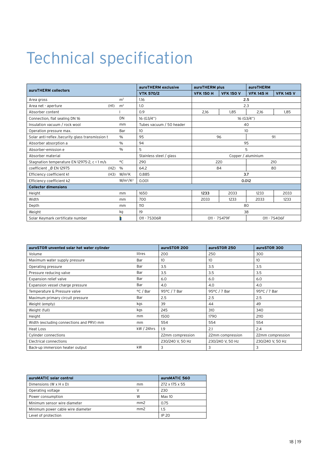### Technical specification

| auroTHERM collectors                             |                | auroTHERM exclusive      | auroTHERM plus               |                  | auroTHERM        |                  |
|--------------------------------------------------|----------------|--------------------------|------------------------------|------------------|------------------|------------------|
|                                                  |                | <b>VTK 570/2</b>         | <b>VFK 150 H</b>             | <b>VFK 150 V</b> | <b>VFK 145 H</b> | <b>VFK 145 V</b> |
| Area gross                                       | m <sup>2</sup> | 1.16                     |                              |                  | 2.5              |                  |
| (H1)<br>Area net - aperture                      | m <sup>2</sup> | 1.0                      |                              |                  | 2.3              |                  |
| Absorber content                                 |                | 0.9                      | 2.16                         | 1.85             | 2,16             | 1.85             |
| Connection, flat sealing DN 16                   | DN             | 16 (G3/4")               |                              |                  | 16 (G3/4")       |                  |
| Insulation vacuum / rock wool                    | mm             | Tubes vacuum / 50 header |                              |                  | 40               |                  |
| Operation pressure max.                          | Bar            | 10                       |                              |                  | 10               |                  |
| Solar anti-reflex /security glass transmission t | $\%$           | 95                       | 91<br>96                     |                  |                  |                  |
| Absorber absorption a                            | $\frac{0}{0}$  | 94                       | 95                           |                  |                  |                  |
| Absorber-emission e                              | $\frac{0}{0}$  | 5                        | 5                            |                  |                  |                  |
| Absorber material                                |                | Stainless steel / glass  | Copper / aluminium           |                  |                  |                  |
| Stagnation temperature EN 12975-2, c < 1 m/s     | °C             | 290                      | 210<br>220                   |                  |                  |                  |
| (H2)<br>coefficient _Ø EN 12975                  | $\%$           | 64.2                     | 84<br>80                     |                  |                  |                  |
| Efficiency coefficient k1<br>(H3)                | $W/m^2K$       | 0.885                    | 3.7                          |                  |                  |                  |
| Efficiency coefficient k2                        | $W/m^2/K^2$    | 0.001                    | 0.012                        |                  |                  |                  |
| <b>Collector dimensions</b>                      |                |                          |                              |                  |                  |                  |
| Height                                           | mm             | 1650                     | 1233                         | 2033             | 1233             | 2033             |
| Width                                            | mm             | 700                      | 2033                         | 1233             | 2033             | 1233             |
| Depth                                            | mm             | 110                      | 80                           |                  |                  |                  |
| Weight                                           | kg             | 19                       | 38                           |                  |                  |                  |
| Solar Keymark certificate number                 | È              | 011 - 7S306R             | 011 - 7S479F<br>011 - 7S406F |                  |                  |                  |

| auroSTOR unvented solar hot water cylinder |             | auroSTOR 200     | auroSTOR 250     | auroSTOR 300     |
|--------------------------------------------|-------------|------------------|------------------|------------------|
| Volume                                     | litres      | 200              | 250              | 300              |
| Maximum water supply pressure              | Bar         | 10               | 10 <sup>°</sup>  | 10               |
| Operating pressure                         | Bar         | 3.5              | 3.5              | 3.5              |
| Pressure reducing valve                    | Bar         | 3.5              | 3.5              | 3.5              |
| Expansion relief valve                     | Bar         | 6.0              | 6.0              | 6.0              |
| Expansion vessel charge pressure           | Bar         | 4.0              | 4.0              | 4.0              |
| Temperature & Pressure valve               | °C / Bar    | 95°C / 7 Bar     | 95°C / 7 Bar     | 95°C / 7 Bar     |
| Maximum primary circuit pressure           | Bar         | 2.5              | 2.5              | 2.5              |
| Weight (empty)                             | kgs         | 39               | 44               | 49               |
| Weight (full)                              | kgs         | 245              | 310              | 340              |
| Height                                     | mm          | 1500             | 1790             | 2110             |
| Width (excluding connections and PRV) mm   | mm          | 554              | 554              | 554              |
| <b>Heat Loss</b>                           | $kW/24$ hrs | 1.9              | 2.1              | 2.4              |
| Cylinder connections                       |             | 22mm compression | 22mm compression | 22mm compression |
| <b>Electrical connections</b>              |             | 230/240 V, 50 Hz | 230/240 V, 50 Hz | 230/240 V, 50 Hz |
| Back-up immersion heater output            | kW          | 3                | 3                | 3                |

| auroMATIC solar control           |                 | auroMATIC 560  |
|-----------------------------------|-----------------|----------------|
| Dimensions (W x H x D)            | mm              | 272 x 175 x 55 |
| Operating voltage                 | V               | 230            |
| Power consumption                 | W               | Max 10         |
| Minimum sensor wire diameter      | mm <sub>2</sub> | 0.75           |
| Minimum power cable wire diameter | mm2             | 1.5            |
| Level of protection               |                 | IP 20          |